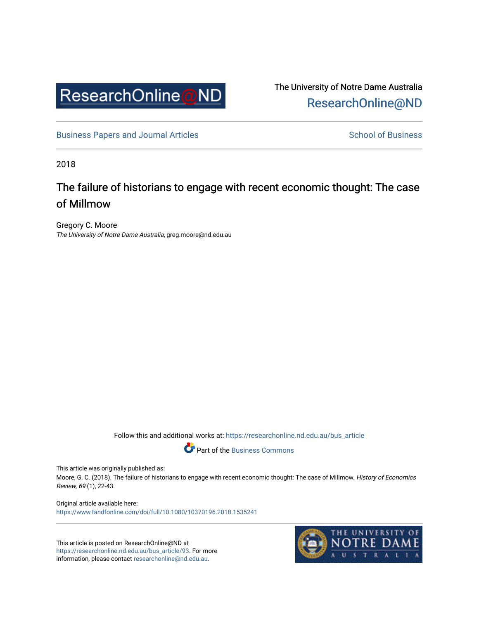

The University of Notre Dame Australia [ResearchOnline@ND](https://researchonline.nd.edu.au/) 

[Business Papers and Journal Articles](https://researchonline.nd.edu.au/bus_article) **School of Business** School of Business

2018

# The failure of historians to engage with recent economic thought: The case of Millmow

Gregory C. Moore The University of Notre Dame Australia, greg.moore@nd.edu.au

Follow this and additional works at: [https://researchonline.nd.edu.au/bus\\_article](https://researchonline.nd.edu.au/bus_article?utm_source=researchonline.nd.edu.au%2Fbus_article%2F93&utm_medium=PDF&utm_campaign=PDFCoverPages)

Part of the [Business Commons](http://network.bepress.com/hgg/discipline/622?utm_source=researchonline.nd.edu.au%2Fbus_article%2F93&utm_medium=PDF&utm_campaign=PDFCoverPages)

This article was originally published as:

Moore, G. C. (2018). The failure of historians to engage with recent economic thought: The case of Millmow. History of Economics Review, 69 (1), 22-43.

Original article available here: <https://www.tandfonline.com/doi/full/10.1080/10370196.2018.1535241>

This article is posted on ResearchOnline@ND at [https://researchonline.nd.edu.au/bus\\_article/93.](https://researchonline.nd.edu.au/bus_article/93) For more information, please contact [researchonline@nd.edu.au.](mailto:researchonline@nd.edu.au)

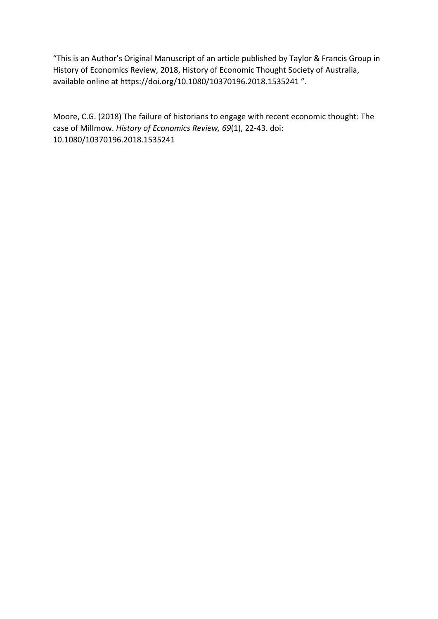"This is an Author's Original Manuscript of an article published by Taylor & Francis Group in History of Economics Review, 2018, History of Economic Thought Society of Australia, available online at https://doi.org/10.1080/10370196.2018.1535241 ".

Moore, C.G. (2018) The failure of historians to engage with recent economic thought: The case of Millmow. *History of Economics Review, 69*(1), 22-43. doi: 10.1080/10370196.2018.1535241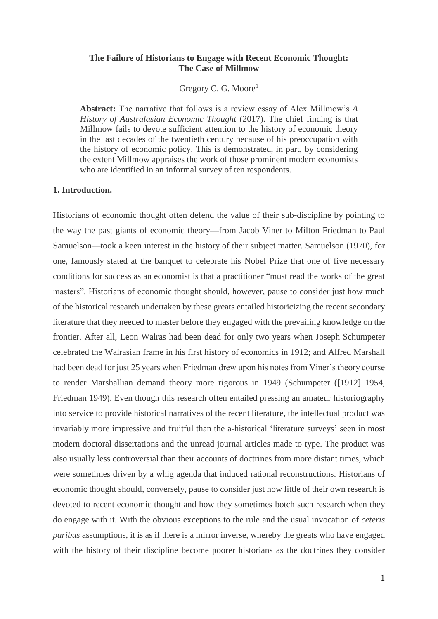#### **The Failure of Historians to Engage with Recent Economic Thought: The Case of Millmow**

## Gregory C. G. Moore<sup>1</sup>

**Abstract:** The narrative that follows is a review essay of Alex Millmow's *A History of Australasian Economic Thought* (2017). The chief finding is that Millmow fails to devote sufficient attention to the history of economic theory in the last decades of the twentieth century because of his preoccupation with the history of economic policy. This is demonstrated, in part, by considering the extent Millmow appraises the work of those prominent modern economists who are identified in an informal survey of ten respondents.

### **1. Introduction.**

Historians of economic thought often defend the value of their sub-discipline by pointing to the way the past giants of economic theory—from Jacob Viner to Milton Friedman to Paul Samuelson—took a keen interest in the history of their subject matter. Samuelson (1970), for one, famously stated at the banquet to celebrate his Nobel Prize that one of five necessary conditions for success as an economist is that a practitioner "must read the works of the great masters". Historians of economic thought should, however, pause to consider just how much of the historical research undertaken by these greats entailed historicizing the recent secondary literature that they needed to master before they engaged with the prevailing knowledge on the frontier. After all, Leon Walras had been dead for only two years when Joseph Schumpeter celebrated the Walrasian frame in his first history of economics in 1912; and Alfred Marshall had been dead for just 25 years when Friedman drew upon his notes from Viner's theory course to render Marshallian demand theory more rigorous in 1949 (Schumpeter ([1912] 1954, Friedman 1949). Even though this research often entailed pressing an amateur historiography into service to provide historical narratives of the recent literature, the intellectual product was invariably more impressive and fruitful than the a-historical 'literature surveys' seen in most modern doctoral dissertations and the unread journal articles made to type. The product was also usually less controversial than their accounts of doctrines from more distant times, which were sometimes driven by a whig agenda that induced rational reconstructions. Historians of economic thought should, conversely, pause to consider just how little of their own research is devoted to recent economic thought and how they sometimes botch such research when they do engage with it. With the obvious exceptions to the rule and the usual invocation of *ceteris paribus* assumptions, it is as if there is a mirror inverse, whereby the greats who have engaged with the history of their discipline become poorer historians as the doctrines they consider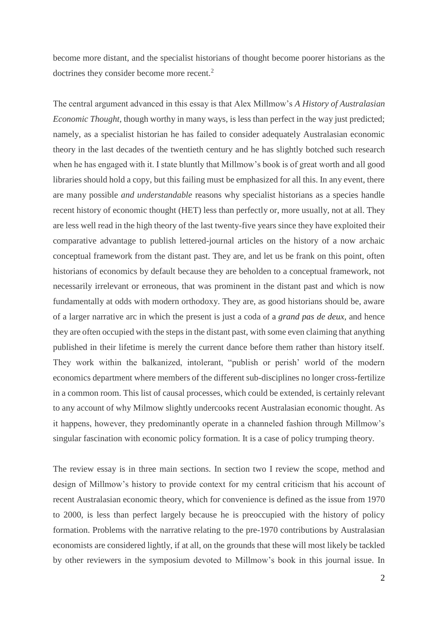become more distant, and the specialist historians of thought become poorer historians as the doctrines they consider become more recent.<sup>2</sup>

The central argument advanced in this essay is that Alex Millmow's *A History of Australasian Economic Thought*, though worthy in many ways, is less than perfect in the way just predicted; namely, as a specialist historian he has failed to consider adequately Australasian economic theory in the last decades of the twentieth century and he has slightly botched such research when he has engaged with it. I state bluntly that Millmow's book is of great worth and all good libraries should hold a copy, but this failing must be emphasized for all this. In any event, there are many possible *and understandable* reasons why specialist historians as a species handle recent history of economic thought (HET) less than perfectly or, more usually, not at all. They are less well read in the high theory of the last twenty-five years since they have exploited their comparative advantage to publish lettered-journal articles on the history of a now archaic conceptual framework from the distant past. They are, and let us be frank on this point, often historians of economics by default because they are beholden to a conceptual framework, not necessarily irrelevant or erroneous, that was prominent in the distant past and which is now fundamentally at odds with modern orthodoxy. They are, as good historians should be, aware of a larger narrative arc in which the present is just a coda of a *grand pas de deux*, and hence they are often occupied with the steps in the distant past, with some even claiming that anything published in their lifetime is merely the current dance before them rather than history itself. They work within the balkanized, intolerant, "publish or perish' world of the modern economics department where members of the different sub-disciplines no longer cross-fertilize in a common room. This list of causal processes, which could be extended, is certainly relevant to any account of why Milmow slightly undercooks recent Australasian economic thought. As it happens, however, they predominantly operate in a channeled fashion through Millmow's singular fascination with economic policy formation. It is a case of policy trumping theory.

The review essay is in three main sections. In section two I review the scope, method and design of Millmow's history to provide context for my central criticism that his account of recent Australasian economic theory, which for convenience is defined as the issue from 1970 to 2000, is less than perfect largely because he is preoccupied with the history of policy formation. Problems with the narrative relating to the pre-1970 contributions by Australasian economists are considered lightly, if at all, on the grounds that these will most likely be tackled by other reviewers in the symposium devoted to Millmow's book in this journal issue. In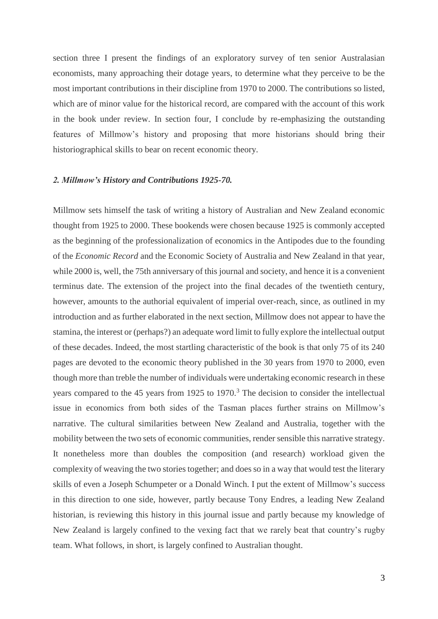section three I present the findings of an exploratory survey of ten senior Australasian economists, many approaching their dotage years, to determine what they perceive to be the most important contributions in their discipline from 1970 to 2000. The contributions so listed, which are of minor value for the historical record, are compared with the account of this work in the book under review. In section four, I conclude by re-emphasizing the outstanding features of Millmow's history and proposing that more historians should bring their historiographical skills to bear on recent economic theory.

#### *2. Millmow's History and Contributions 1925-70.*

Millmow sets himself the task of writing a history of Australian and New Zealand economic thought from 1925 to 2000. These bookends were chosen because 1925 is commonly accepted as the beginning of the professionalization of economics in the Antipodes due to the founding of the *Economic Record* and the Economic Society of Australia and New Zealand in that year, while 2000 is, well, the 75th anniversary of this journal and society, and hence it is a convenient terminus date. The extension of the project into the final decades of the twentieth century, however, amounts to the authorial equivalent of imperial over-reach, since, as outlined in my introduction and as further elaborated in the next section, Millmow does not appear to have the stamina, the interest or (perhaps?) an adequate word limit to fully explore the intellectual output of these decades. Indeed, the most startling characteristic of the book is that only 75 of its 240 pages are devoted to the economic theory published in the 30 years from 1970 to 2000, even though more than treble the number of individuals were undertaking economic research in these years compared to the 45 years from 1925 to 1970.<sup>3</sup> The decision to consider the intellectual issue in economics from both sides of the Tasman places further strains on Millmow's narrative. The cultural similarities between New Zealand and Australia, together with the mobility between the two sets of economic communities, render sensible this narrative strategy. It nonetheless more than doubles the composition (and research) workload given the complexity of weaving the two stories together; and does so in a way that would test the literary skills of even a Joseph Schumpeter or a Donald Winch. I put the extent of Millmow's success in this direction to one side, however, partly because Tony Endres, a leading New Zealand historian, is reviewing this history in this journal issue and partly because my knowledge of New Zealand is largely confined to the vexing fact that we rarely beat that country's rugby team. What follows, in short, is largely confined to Australian thought.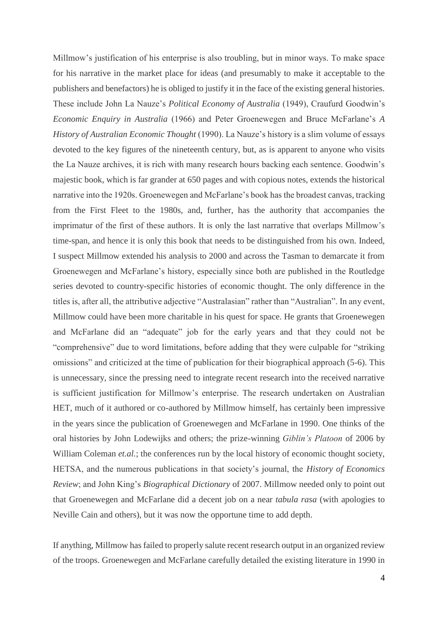Millmow's justification of his enterprise is also troubling, but in minor ways. To make space for his narrative in the market place for ideas (and presumably to make it acceptable to the publishers and benefactors) he is obliged to justify it in the face of the existing general histories. These include John La Nauze's *Political Economy of Australia* (1949), Craufurd Goodwin's *Economic Enquiry in Australia* (1966) and Peter Groenewegen and Bruce McFarlane's *A History of Australian Economic Thought* (1990). La Nauze's history is a slim volume of essays devoted to the key figures of the nineteenth century, but, as is apparent to anyone who visits the La Nauze archives, it is rich with many research hours backing each sentence. Goodwin's majestic book, which is far grander at 650 pages and with copious notes, extends the historical narrative into the 1920s. Groenewegen and McFarlane's book has the broadest canvas, tracking from the First Fleet to the 1980s, and, further, has the authority that accompanies the imprimatur of the first of these authors. It is only the last narrative that overlaps Millmow's time-span, and hence it is only this book that needs to be distinguished from his own. Indeed, I suspect Millmow extended his analysis to 2000 and across the Tasman to demarcate it from Groenewegen and McFarlane's history, especially since both are published in the Routledge series devoted to country-specific histories of economic thought. The only difference in the titles is, after all, the attributive adjective "Australasian" rather than "Australian". In any event, Millmow could have been more charitable in his quest for space. He grants that Groenewegen and McFarlane did an "adequate" job for the early years and that they could not be "comprehensive" due to word limitations, before adding that they were culpable for "striking omissions" and criticized at the time of publication for their biographical approach (5-6). This is unnecessary, since the pressing need to integrate recent research into the received narrative is sufficient justification for Millmow's enterprise. The research undertaken on Australian HET, much of it authored or co-authored by Millmow himself, has certainly been impressive in the years since the publication of Groenewegen and McFarlane in 1990. One thinks of the oral histories by John Lodewijks and others; the prize-winning *Giblin's Platoon* of 2006 by William Coleman *et.al.*; the conferences run by the local history of economic thought society, HETSA, and the numerous publications in that society's journal, the *History of Economics Review*; and John King's *Biographical Dictionary* of 2007. Millmow needed only to point out that Groenewegen and McFarlane did a decent job on a near *tabula rasa* (with apologies to Neville Cain and others), but it was now the opportune time to add depth.

If anything, Millmow has failed to properly salute recent research output in an organized review of the troops. Groenewegen and McFarlane carefully detailed the existing literature in 1990 in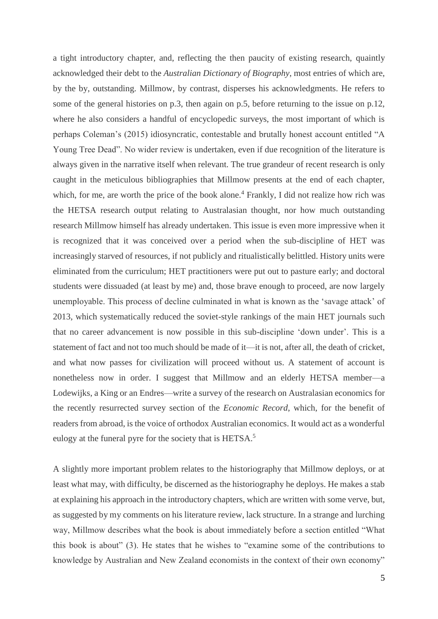a tight introductory chapter, and, reflecting the then paucity of existing research, quaintly acknowledged their debt to the *Australian Dictionary of Biography*, most entries of which are, by the by, outstanding. Millmow, by contrast, disperses his acknowledgments. He refers to some of the general histories on p.3, then again on p.5, before returning to the issue on p.12, where he also considers a handful of encyclopedic surveys, the most important of which is perhaps Coleman's (2015) idiosyncratic, contestable and brutally honest account entitled "A Young Tree Dead". No wider review is undertaken, even if due recognition of the literature is always given in the narrative itself when relevant. The true grandeur of recent research is only caught in the meticulous bibliographies that Millmow presents at the end of each chapter, which, for me, are worth the price of the book alone.<sup>4</sup> Frankly, I did not realize how rich was the HETSA research output relating to Australasian thought, nor how much outstanding research Millmow himself has already undertaken. This issue is even more impressive when it is recognized that it was conceived over a period when the sub-discipline of HET was increasingly starved of resources, if not publicly and ritualistically belittled. History units were eliminated from the curriculum; HET practitioners were put out to pasture early; and doctoral students were dissuaded (at least by me) and, those brave enough to proceed, are now largely unemployable. This process of decline culminated in what is known as the 'savage attack' of 2013, which systematically reduced the soviet-style rankings of the main HET journals such that no career advancement is now possible in this sub-discipline 'down under'. This is a statement of fact and not too much should be made of it—it is not, after all, the death of cricket, and what now passes for civilization will proceed without us. A statement of account is nonetheless now in order. I suggest that Millmow and an elderly HETSA member—a Lodewijks, a King or an Endres—write a survey of the research on Australasian economics for the recently resurrected survey section of the *Economic Record*, which, for the benefit of readers from abroad, is the voice of orthodox Australian economics. It would act as a wonderful eulogy at the funeral pyre for the society that is HETSA.<sup>5</sup>

A slightly more important problem relates to the historiography that Millmow deploys, or at least what may, with difficulty, be discerned as the historiography he deploys. He makes a stab at explaining his approach in the introductory chapters, which are written with some verve, but, as suggested by my comments on his literature review, lack structure. In a strange and lurching way, Millmow describes what the book is about immediately before a section entitled "What this book is about" (3). He states that he wishes to "examine some of the contributions to knowledge by Australian and New Zealand economists in the context of their own economy"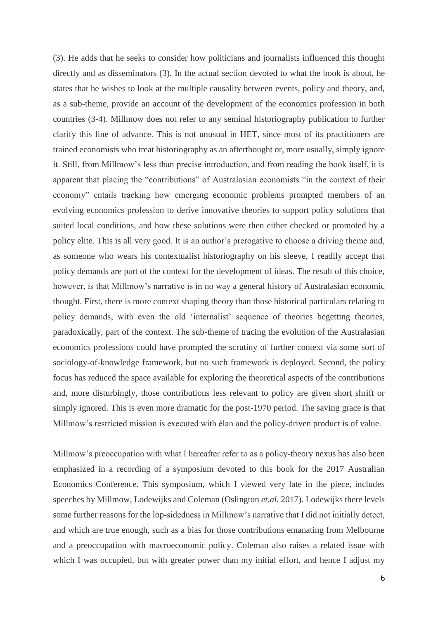(3). He adds that he seeks to consider how politicians and journalists influenced this thought directly and as disseminators (3). In the actual section devoted to what the book is about, he states that he wishes to look at the multiple causality between events, policy and theory, and, as a sub-theme, provide an account of the development of the economics profession in both countries (3-4). Millmow does not refer to any seminal historiography publication to further clarify this line of advance. This is not unusual in HET, since most of its practitioners are trained economists who treat historiography as an afterthought or, more usually, simply ignore it. Still, from Millmow's less than precise introduction, and from reading the book itself, it is apparent that placing the "contributions" of Australasian economists "in the context of their economy" entails tracking how emerging economic problems prompted members of an evolving economics profession to derive innovative theories to support policy solutions that suited local conditions, and how these solutions were then either checked or promoted by a policy elite. This is all very good. It is an author's prerogative to choose a driving theme and, as someone who wears his contextualist historiography on his sleeve, I readily accept that policy demands are part of the context for the development of ideas. The result of this choice, however, is that Millmow's narrative is in no way a general history of Australasian economic thought. First, there is more context shaping theory than those historical particulars relating to policy demands, with even the old 'internalist' sequence of theories begetting theories, paradoxically, part of the context. The sub-theme of tracing the evolution of the Australasian economics professions could have prompted the scrutiny of further context via some sort of sociology-of-knowledge framework, but no such framework is deployed. Second, the policy focus has reduced the space available for exploring the theoretical aspects of the contributions and, more disturbingly, those contributions less relevant to policy are given short shrift or simply ignored. This is even more dramatic for the post-1970 period. The saving grace is that Millmow's restricted mission is executed with élan and the policy-driven product is of value.

Millmow's preoccupation with what I hereafter refer to as a policy-theory nexus has also been emphasized in a recording of a symposium devoted to this book for the 2017 Australian Economics Conference. This symposium, which I viewed very late in the piece, includes speeches by Millmow, Lodewijks and Coleman (Oslington *et.al.* 2017). Lodewijks there levels some further reasons for the lop-sidedness in Millmow's narrative that I did not initially detect, and which are true enough, such as a bias for those contributions emanating from Melbourne and a preoccupation with macroeconomic policy. Coleman also raises a related issue with which I was occupied, but with greater power than my initial effort, and hence I adjust my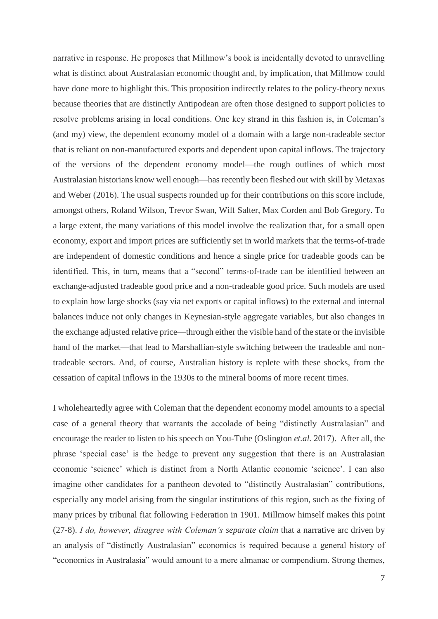narrative in response. He proposes that Millmow's book is incidentally devoted to unravelling what is distinct about Australasian economic thought and, by implication, that Millmow could have done more to highlight this. This proposition indirectly relates to the policy-theory nexus because theories that are distinctly Antipodean are often those designed to support policies to resolve problems arising in local conditions. One key strand in this fashion is, in Coleman's (and my) view, the dependent economy model of a domain with a large non-tradeable sector that is reliant on non-manufactured exports and dependent upon capital inflows. The trajectory of the versions of the dependent economy model—the rough outlines of which most Australasian historians know well enough—has recently been fleshed out with skill by Metaxas and Weber (2016). The usual suspects rounded up for their contributions on this score include, amongst others, Roland Wilson, Trevor Swan, Wilf Salter, Max Corden and Bob Gregory. To a large extent, the many variations of this model involve the realization that, for a small open economy, export and import prices are sufficiently set in world markets that the terms-of-trade are independent of domestic conditions and hence a single price for tradeable goods can be identified. This, in turn, means that a "second" terms-of-trade can be identified between an exchange-adjusted tradeable good price and a non-tradeable good price. Such models are used to explain how large shocks (say via net exports or capital inflows) to the external and internal balances induce not only changes in Keynesian-style aggregate variables, but also changes in the exchange adjusted relative price—through either the visible hand of the state or the invisible hand of the market—that lead to Marshallian-style switching between the tradeable and nontradeable sectors. And, of course, Australian history is replete with these shocks, from the cessation of capital inflows in the 1930s to the mineral booms of more recent times.

I wholeheartedly agree with Coleman that the dependent economy model amounts to a special case of a general theory that warrants the accolade of being "distinctly Australasian" and encourage the reader to listen to his speech on You-Tube (Oslington *et.al.* 2017). After all, the phrase 'special case' is the hedge to prevent any suggestion that there is an Australasian economic 'science' which is distinct from a North Atlantic economic 'science'. I can also imagine other candidates for a pantheon devoted to "distinctly Australasian" contributions, especially any model arising from the singular institutions of this region, such as the fixing of many prices by tribunal fiat following Federation in 1901*.* Millmow himself makes this point (27-8). *I do, however, disagree with Coleman's separate claim* that a narrative arc driven by an analysis of "distinctly Australasian" economics is required because a general history of "economics in Australasia" would amount to a mere almanac or compendium. Strong themes,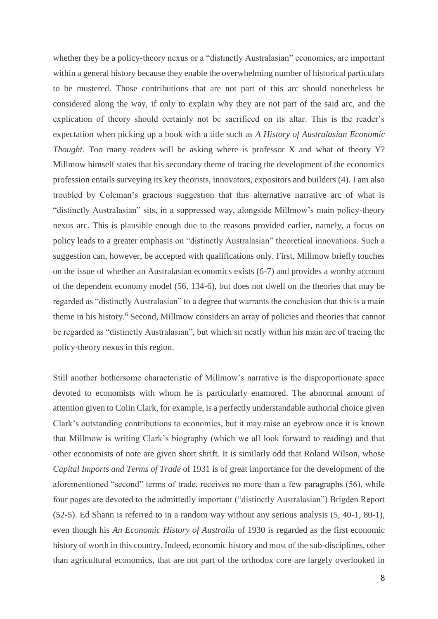whether they be a policy-theory nexus or a "distinctly Australasian" economics, are important within a general history because they enable the overwhelming number of historical particulars to be mustered. Those contributions that are not part of this arc should nonetheless be considered along the way, if only to explain why they are not part of the said arc, and the explication of theory should certainly not be sacrificed on its altar. This is the reader's expectation when picking up a book with a title such as *A History of Australasian Economic Thought*. Too many readers will be asking where is professor X and what of theory Y? Millmow himself states that his secondary theme of tracing the development of the economics profession entails surveying its key theorists, innovators, expositors and builders (4). I am also troubled by Coleman's gracious suggestion that this alternative narrative arc of what is "distinctly Australasian" sits, in a suppressed way, alongside Millmow's main policy-theory nexus arc. This is plausible enough due to the reasons provided earlier, namely, a focus on policy leads to a greater emphasis on "distinctly Australasian" theoretical innovations. Such a suggestion can, however, be accepted with qualifications only. First, Millmow briefly touches on the issue of whether an Australasian economics exists (6-7) and provides a worthy account of the dependent economy model (56, 134-6), but does not dwell on the theories that may be regarded as "distinctly Australasian" to a degree that warrants the conclusion that this is a main theme in his history.<sup>6</sup> Second, Millmow considers an array of policies and theories that cannot be regarded as "distinctly Australasian", but which sit neatly within his main arc of tracing the policy-theory nexus in this region.

Still another bothersome characteristic of Millmow's narrative is the disproportionate space devoted to economists with whom he is particularly enamored. The abnormal amount of attention given to Colin Clark, for example, is a perfectly understandable authorial choice given Clark's outstanding contributions to economics, but it may raise an eyebrow once it is known that Millmow is writing Clark's biography (which we all look forward to reading) and that other economists of note are given short shrift. It is similarly odd that Roland Wilson, whose *Capital Imports and Terms of Trade* of 1931 is of great importance for the development of the aforementioned "second" terms of trade, receives no more than a few paragraphs (56), while four pages are devoted to the admittedly important ("distinctly Australasian") Brigden Report (52-5). Ed Shann is referred to in a random way without any serious analysis (5, 40-1, 80-1), even though his *An Economic History of Australia* of 1930 is regarded as the first economic history of worth in this country. Indeed, economic history and most of the sub-disciplines, other than agricultural economics, that are not part of the orthodox core are largely overlooked in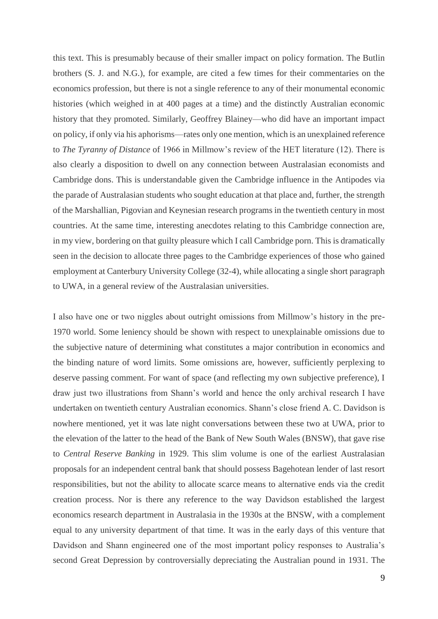this text. This is presumably because of their smaller impact on policy formation. The Butlin brothers (S. J. and N.G.), for example, are cited a few times for their commentaries on the economics profession, but there is not a single reference to any of their monumental economic histories (which weighed in at 400 pages at a time) and the distinctly Australian economic history that they promoted. Similarly, Geoffrey Blainey—who did have an important impact on policy, if only via his aphorisms—rates only one mention, which is an unexplained reference to *The Tyranny of Distance* of 1966 in Millmow's review of the HET literature (12). There is also clearly a disposition to dwell on any connection between Australasian economists and Cambridge dons. This is understandable given the Cambridge influence in the Antipodes via the parade of Australasian students who sought education at that place and, further, the strength of the Marshallian, Pigovian and Keynesian research programs in the twentieth century in most countries. At the same time, interesting anecdotes relating to this Cambridge connection are, in my view, bordering on that guilty pleasure which I call Cambridge porn. This is dramatically seen in the decision to allocate three pages to the Cambridge experiences of those who gained employment at Canterbury University College (32-4), while allocating a single short paragraph to UWA, in a general review of the Australasian universities.

I also have one or two niggles about outright omissions from Millmow's history in the pre-1970 world. Some leniency should be shown with respect to unexplainable omissions due to the subjective nature of determining what constitutes a major contribution in economics and the binding nature of word limits. Some omissions are, however, sufficiently perplexing to deserve passing comment. For want of space (and reflecting my own subjective preference), I draw just two illustrations from Shann's world and hence the only archival research I have undertaken on twentieth century Australian economics. Shann's close friend A. C. Davidson is nowhere mentioned, yet it was late night conversations between these two at UWA, prior to the elevation of the latter to the head of the Bank of New South Wales (BNSW), that gave rise to *Central Reserve Banking* in 1929. This slim volume is one of the earliest Australasian proposals for an independent central bank that should possess Bagehotean lender of last resort responsibilities, but not the ability to allocate scarce means to alternative ends via the credit creation process. Nor is there any reference to the way Davidson established the largest economics research department in Australasia in the 1930s at the BNSW, with a complement equal to any university department of that time. It was in the early days of this venture that Davidson and Shann engineered one of the most important policy responses to Australia's second Great Depression by controversially depreciating the Australian pound in 1931. The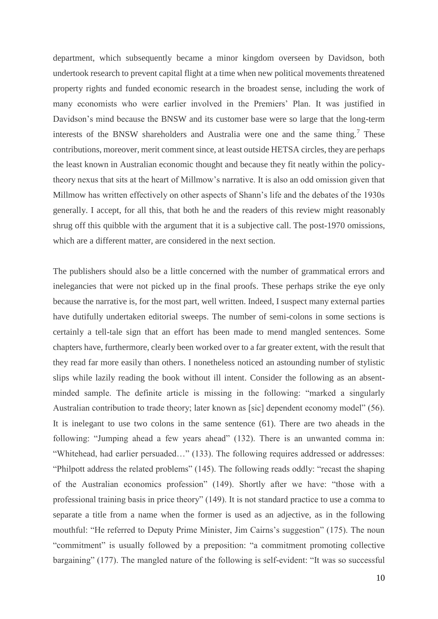department, which subsequently became a minor kingdom overseen by Davidson, both undertook research to prevent capital flight at a time when new political movements threatened property rights and funded economic research in the broadest sense, including the work of many economists who were earlier involved in the Premiers' Plan. It was justified in Davidson's mind because the BNSW and its customer base were so large that the long-term interests of the BNSW shareholders and Australia were one and the same thing.<sup>7</sup> These contributions, moreover, merit comment since, at least outside HETSA circles, they are perhaps the least known in Australian economic thought and because they fit neatly within the policytheory nexus that sits at the heart of Millmow's narrative. It is also an odd omission given that Millmow has written effectively on other aspects of Shann's life and the debates of the 1930s generally. I accept, for all this, that both he and the readers of this review might reasonably shrug off this quibble with the argument that it is a subjective call. The post-1970 omissions, which are a different matter, are considered in the next section.

The publishers should also be a little concerned with the number of grammatical errors and inelegancies that were not picked up in the final proofs. These perhaps strike the eye only because the narrative is, for the most part, well written. Indeed, I suspect many external parties have dutifully undertaken editorial sweeps. The number of semi-colons in some sections is certainly a tell-tale sign that an effort has been made to mend mangled sentences. Some chapters have, furthermore, clearly been worked over to a far greater extent, with the result that they read far more easily than others. I nonetheless noticed an astounding number of stylistic slips while lazily reading the book without ill intent. Consider the following as an absentminded sample. The definite article is missing in the following: "marked a singularly Australian contribution to trade theory; later known as [sic] dependent economy model" (56). It is inelegant to use two colons in the same sentence (61). There are two aheads in the following: "Jumping ahead a few years ahead" (132). There is an unwanted comma in: "Whitehead, had earlier persuaded..." (133). The following requires addressed or addresses: "Philpott address the related problems" (145). The following reads oddly: "recast the shaping of the Australian economics profession" (149). Shortly after we have: "those with a professional training basis in price theory" (149). It is not standard practice to use a comma to separate a title from a name when the former is used as an adjective, as in the following mouthful: "He referred to Deputy Prime Minister, Jim Cairns's suggestion" (175). The noun "commitment" is usually followed by a preposition: "a commitment promoting collective bargaining" (177). The mangled nature of the following is self-evident: "It was so successful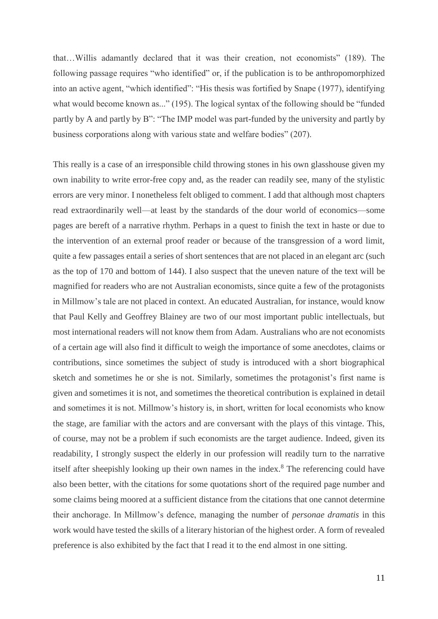that…Willis adamantly declared that it was their creation, not economists" (189). The following passage requires "who identified" or, if the publication is to be anthropomorphized into an active agent, "which identified": "His thesis was fortified by Snape (1977), identifying what would become known as..." (195). The logical syntax of the following should be "funded partly by A and partly by B": "The IMP model was part-funded by the university and partly by business corporations along with various state and welfare bodies" (207).

This really is a case of an irresponsible child throwing stones in his own glasshouse given my own inability to write error-free copy and, as the reader can readily see, many of the stylistic errors are very minor. I nonetheless felt obliged to comment. I add that although most chapters read extraordinarily well—at least by the standards of the dour world of economics—some pages are bereft of a narrative rhythm. Perhaps in a quest to finish the text in haste or due to the intervention of an external proof reader or because of the transgression of a word limit, quite a few passages entail a series of short sentences that are not placed in an elegant arc (such as the top of 170 and bottom of 144). I also suspect that the uneven nature of the text will be magnified for readers who are not Australian economists, since quite a few of the protagonists in Millmow's tale are not placed in context. An educated Australian, for instance, would know that Paul Kelly and Geoffrey Blainey are two of our most important public intellectuals, but most international readers will not know them from Adam. Australians who are not economists of a certain age will also find it difficult to weigh the importance of some anecdotes, claims or contributions, since sometimes the subject of study is introduced with a short biographical sketch and sometimes he or she is not. Similarly, sometimes the protagonist's first name is given and sometimes it is not, and sometimes the theoretical contribution is explained in detail and sometimes it is not. Millmow's history is, in short, written for local economists who know the stage, are familiar with the actors and are conversant with the plays of this vintage. This, of course, may not be a problem if such economists are the target audience. Indeed, given its readability, I strongly suspect the elderly in our profession will readily turn to the narrative itself after sheepishly looking up their own names in the index.<sup>8</sup> The referencing could have also been better, with the citations for some quotations short of the required page number and some claims being moored at a sufficient distance from the citations that one cannot determine their anchorage. In Millmow's defence, managing the number of *personae dramatis* in this work would have tested the skills of a literary historian of the highest order. A form of revealed preference is also exhibited by the fact that I read it to the end almost in one sitting.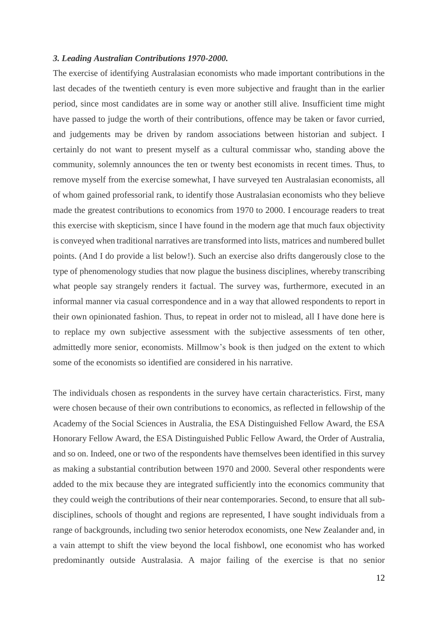#### *3. Leading Australian Contributions 1970-2000.*

The exercise of identifying Australasian economists who made important contributions in the last decades of the twentieth century is even more subjective and fraught than in the earlier period, since most candidates are in some way or another still alive. Insufficient time might have passed to judge the worth of their contributions, offence may be taken or favor curried, and judgements may be driven by random associations between historian and subject. I certainly do not want to present myself as a cultural commissar who, standing above the community, solemnly announces the ten or twenty best economists in recent times. Thus, to remove myself from the exercise somewhat, I have surveyed ten Australasian economists, all of whom gained professorial rank, to identify those Australasian economists who they believe made the greatest contributions to economics from 1970 to 2000. I encourage readers to treat this exercise with skepticism, since I have found in the modern age that much faux objectivity is conveyed when traditional narratives are transformed into lists, matrices and numbered bullet points. (And I do provide a list below!). Such an exercise also drifts dangerously close to the type of phenomenology studies that now plague the business disciplines, whereby transcribing what people say strangely renders it factual. The survey was, furthermore, executed in an informal manner via casual correspondence and in a way that allowed respondents to report in their own opinionated fashion. Thus, to repeat in order not to mislead, all I have done here is to replace my own subjective assessment with the subjective assessments of ten other, admittedly more senior, economists. Millmow's book is then judged on the extent to which some of the economists so identified are considered in his narrative.

The individuals chosen as respondents in the survey have certain characteristics. First, many were chosen because of their own contributions to economics, as reflected in fellowship of the Academy of the Social Sciences in Australia, the ESA Distinguished Fellow Award, the ESA Honorary Fellow Award, the ESA Distinguished Public Fellow Award, the Order of Australia, and so on. Indeed, one or two of the respondents have themselves been identified in this survey as making a substantial contribution between 1970 and 2000. Several other respondents were added to the mix because they are integrated sufficiently into the economics community that they could weigh the contributions of their near contemporaries. Second, to ensure that all subdisciplines, schools of thought and regions are represented, I have sought individuals from a range of backgrounds, including two senior heterodox economists, one New Zealander and, in a vain attempt to shift the view beyond the local fishbowl, one economist who has worked predominantly outside Australasia. A major failing of the exercise is that no senior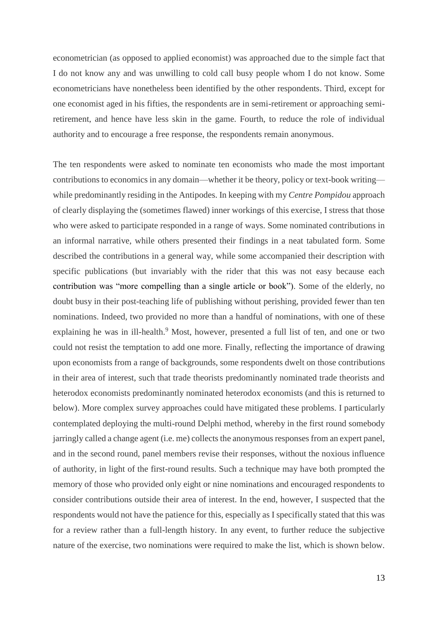econometrician (as opposed to applied economist) was approached due to the simple fact that I do not know any and was unwilling to cold call busy people whom I do not know. Some econometricians have nonetheless been identified by the other respondents. Third, except for one economist aged in his fifties, the respondents are in semi-retirement or approaching semiretirement, and hence have less skin in the game. Fourth, to reduce the role of individual authority and to encourage a free response, the respondents remain anonymous.

The ten respondents were asked to nominate ten economists who made the most important contributions to economics in any domain—whether it be theory, policy or text-book writing while predominantly residing in the Antipodes. In keeping with my *Centre Pompidou* approach of clearly displaying the (sometimes flawed) inner workings of this exercise, I stress that those who were asked to participate responded in a range of ways. Some nominated contributions in an informal narrative, while others presented their findings in a neat tabulated form. Some described the contributions in a general way, while some accompanied their description with specific publications (but invariably with the rider that this was not easy because each contribution was "more compelling than a single article or book"). Some of the elderly, no doubt busy in their post-teaching life of publishing without perishing, provided fewer than ten nominations. Indeed, two provided no more than a handful of nominations, with one of these explaining he was in ill-health.<sup>9</sup> Most, however, presented a full list of ten, and one or two could not resist the temptation to add one more. Finally, reflecting the importance of drawing upon economists from a range of backgrounds, some respondents dwelt on those contributions in their area of interest, such that trade theorists predominantly nominated trade theorists and heterodox economists predominantly nominated heterodox economists (and this is returned to below). More complex survey approaches could have mitigated these problems. I particularly contemplated deploying the multi-round Delphi method, whereby in the first round somebody jarringly called a change agent (i.e. me) collects the anonymous responses from an expert panel, and in the second round, panel members revise their responses, without the noxious influence of authority, in light of the first-round results. Such a technique may have both prompted the memory of those who provided only eight or nine nominations and encouraged respondents to consider contributions outside their area of interest. In the end, however, I suspected that the respondents would not have the patience for this, especially as I specifically stated that this was for a review rather than a full-length history. In any event, to further reduce the subjective nature of the exercise, two nominations were required to make the list, which is shown below.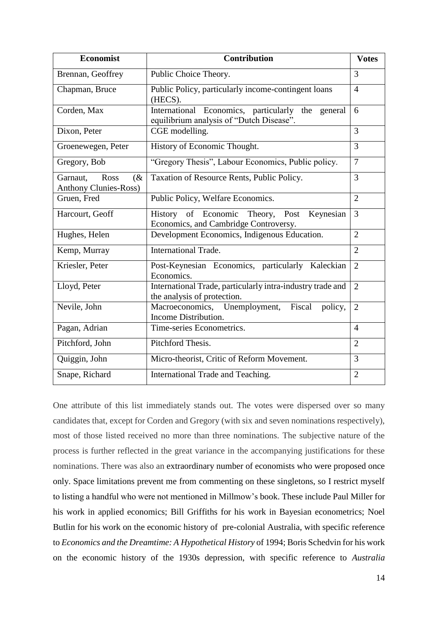| <b>Economist</b>                                          | <b>Contribution</b>                                                                           | <b>Votes</b>   |
|-----------------------------------------------------------|-----------------------------------------------------------------------------------------------|----------------|
| Brennan, Geoffrey                                         | Public Choice Theory.                                                                         | 3              |
| Chapman, Bruce                                            | Public Policy, particularly income-contingent loans<br>(HECS).                                | $\overline{4}$ |
| Corden, Max                                               | International Economics, particularly the general<br>equilibrium analysis of "Dutch Disease". | 6              |
| Dixon, Peter                                              | CGE modelling.                                                                                | 3              |
| Groenewegen, Peter                                        | History of Economic Thought.                                                                  | 3              |
| Gregory, Bob                                              | "Gregory Thesis", Labour Economics, Public policy.                                            | $\overline{7}$ |
| Ross<br>Garnaut,<br>$(\&$<br><b>Anthony Clunies-Ross)</b> | Taxation of Resource Rents, Public Policy.                                                    | 3              |
| Gruen, Fred                                               | Public Policy, Welfare Economics.                                                             | $\overline{2}$ |
| Harcourt, Geoff                                           | History of Economic Theory, Post<br>Keynesian<br>Economics, and Cambridge Controversy.        | 3              |
| Hughes, Helen                                             | Development Economics, Indigenous Education.                                                  | $\overline{2}$ |
| Kemp, Murray                                              | <b>International Trade.</b>                                                                   | $\overline{2}$ |
| Kriesler, Peter                                           | Post-Keynesian Economics, particularly Kaleckian<br>Economics.                                | $\overline{2}$ |
| Lloyd, Peter                                              | International Trade, particularly intra-industry trade and<br>the analysis of protection.     | $\overline{2}$ |
| Nevile, John                                              | Macroeconomics, Unemployment,<br>Fiscal<br>policy,<br>Income Distribution.                    | $\overline{2}$ |
| Pagan, Adrian                                             | Time-series Econometrics.                                                                     | $\overline{4}$ |
| Pitchford, John                                           | Pitchford Thesis.                                                                             | $\overline{2}$ |
| Quiggin, John                                             | Micro-theorist, Critic of Reform Movement.                                                    | 3              |
| Snape, Richard                                            | International Trade and Teaching.                                                             | $\overline{2}$ |

One attribute of this list immediately stands out. The votes were dispersed over so many candidates that, except for Corden and Gregory (with six and seven nominations respectively), most of those listed received no more than three nominations. The subjective nature of the process is further reflected in the great variance in the accompanying justifications for these nominations. There was also an extraordinary number of economists who were proposed once only. Space limitations prevent me from commenting on these singletons, so I restrict myself to listing a handful who were not mentioned in Millmow's book. These include Paul Miller for his work in applied economics; Bill Griffiths for his work in Bayesian econometrics; Noel Butlin for his work on the economic history of pre-colonial Australia, with specific reference to *Economics and the Dreamtime: A Hypothetical History* of 1994; Boris Schedvin for his work on the economic history of the 1930s depression, with specific reference to *Australia*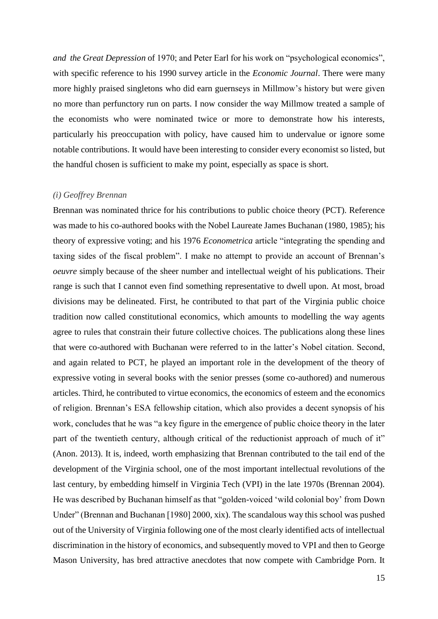*and the Great Depression* of 1970; and Peter Earl for his work on "psychological economics", with specific reference to his 1990 survey article in the *Economic Journal*. There were many more highly praised singletons who did earn guernseys in Millmow's history but were given no more than perfunctory run on parts. I now consider the way Millmow treated a sample of the economists who were nominated twice or more to demonstrate how his interests, particularly his preoccupation with policy, have caused him to undervalue or ignore some notable contributions. It would have been interesting to consider every economist so listed, but the handful chosen is sufficient to make my point, especially as space is short.

#### *(i) Geoffrey Brennan*

Brennan was nominated thrice for his contributions to public choice theory (PCT). Reference was made to his co-authored books with the Nobel Laureate James Buchanan (1980, 1985); his theory of expressive voting; and his 1976 *Econometrica* article "integrating the spending and taxing sides of the fiscal problem". I make no attempt to provide an account of Brennan's *oeuvre* simply because of the sheer number and intellectual weight of his publications. Their range is such that I cannot even find something representative to dwell upon. At most, broad divisions may be delineated. First, he contributed to that part of the Virginia public choice tradition now called constitutional economics, which amounts to modelling the way agents agree to rules that constrain their future collective choices. The publications along these lines that were co-authored with Buchanan were referred to in the latter's Nobel citation. Second, and again related to PCT, he played an important role in the development of the theory of expressive voting in several books with the senior presses (some co-authored) and numerous articles. Third, he contributed to virtue economics, the economics of esteem and the economics of religion. Brennan's ESA fellowship citation, which also provides a decent synopsis of his work, concludes that he was "a key figure in the emergence of public choice theory in the later part of the twentieth century, although critical of the reductionist approach of much of it" (Anon. 2013). It is, indeed, worth emphasizing that Brennan contributed to the tail end of the development of the Virginia school, one of the most important intellectual revolutions of the last century, by embedding himself in Virginia Tech (VPI) in the late 1970s (Brennan 2004). He was described by Buchanan himself as that "golden-voiced 'wild colonial boy' from Down Under" (Brennan and Buchanan [1980] 2000, xix). The scandalous way this school was pushed out of the University of Virginia following one of the most clearly identified acts of intellectual discrimination in the history of economics, and subsequently moved to VPI and then to George Mason University, has bred attractive anecdotes that now compete with Cambridge Porn. It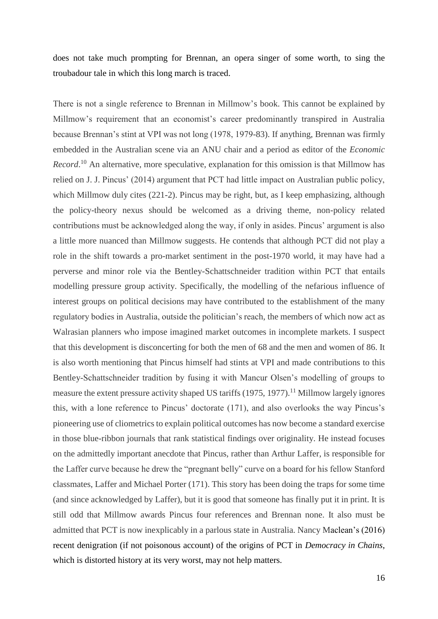does not take much prompting for Brennan, an opera singer of some worth, to sing the troubadour tale in which this long march is traced.

There is not a single reference to Brennan in Millmow's book. This cannot be explained by Millmow's requirement that an economist's career predominantly transpired in Australia because Brennan's stint at VPI was not long (1978, 1979-83). If anything, Brennan was firmly embedded in the Australian scene via an ANU chair and a period as editor of the *Economic Record*.<sup>10</sup> An alternative, more speculative, explanation for this omission is that Millmow has relied on J. J. Pincus' (2014) argument that PCT had little impact on Australian public policy, which Millmow duly cites (221-2). Pincus may be right, but, as I keep emphasizing, although the policy-theory nexus should be welcomed as a driving theme, non-policy related contributions must be acknowledged along the way, if only in asides. Pincus' argument is also a little more nuanced than Millmow suggests. He contends that although PCT did not play a role in the shift towards a pro-market sentiment in the post-1970 world, it may have had a perverse and minor role via the Bentley-Schattschneider tradition within PCT that entails modelling pressure group activity. Specifically, the modelling of the nefarious influence of interest groups on political decisions may have contributed to the establishment of the many regulatory bodies in Australia, outside the politician's reach, the members of which now act as Walrasian planners who impose imagined market outcomes in incomplete markets. I suspect that this development is disconcerting for both the men of 68 and the men and women of 86. It is also worth mentioning that Pincus himself had stints at VPI and made contributions to this Bentley-Schattschneider tradition by fusing it with Mancur Olsen's modelling of groups to measure the extent pressure activity shaped US tariffs  $(1975, 1977)$ .<sup>11</sup> Millmow largely ignores this, with a lone reference to Pincus' doctorate (171), and also overlooks the way Pincus's pioneering use of cliometrics to explain political outcomes has now become a standard exercise in those blue-ribbon journals that rank statistical findings over originality. He instead focuses on the admittedly important anecdote that Pincus, rather than Arthur Laffer, is responsible for the Laffer curve because he drew the "pregnant belly" curve on a board for his fellow Stanford classmates, Laffer and Michael Porter (171). This story has been doing the traps for some time (and since acknowledged by Laffer), but it is good that someone has finally put it in print. It is still odd that Millmow awards Pincus four references and Brennan none. It also must be admitted that PCT is now inexplicably in a parlous state in Australia. Nancy Maclean's (2016) recent denigration (if not poisonous account) of the origins of PCT in *Democracy in Chains*, which is distorted history at its very worst, may not help matters.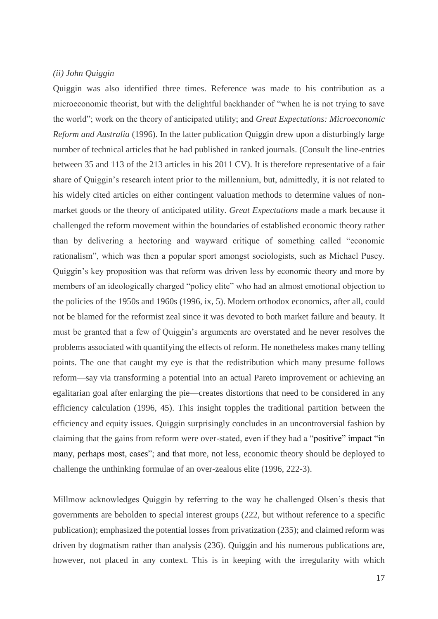#### *(ii) John Quiggin*

Quiggin was also identified three times. Reference was made to his contribution as a microeconomic theorist, but with the delightful backhander of "when he is not trying to save the world"; work on the theory of anticipated utility; and *Great Expectations: Microeconomic Reform and Australia* (1996). In the latter publication Quiggin drew upon a disturbingly large number of technical articles that he had published in ranked journals. (Consult the line-entries between 35 and 113 of the 213 articles in his 2011 CV). It is therefore representative of a fair share of Quiggin's research intent prior to the millennium, but, admittedly, it is not related to his widely cited articles on either contingent valuation methods to determine values of nonmarket goods or the theory of anticipated utility. *Great Expectations* made a mark because it challenged the reform movement within the boundaries of established economic theory rather than by delivering a hectoring and wayward critique of something called "economic rationalism", which was then a popular sport amongst sociologists, such as Michael Pusey. Quiggin's key proposition was that reform was driven less by economic theory and more by members of an ideologically charged "policy elite" who had an almost emotional objection to the policies of the 1950s and 1960s (1996, ix, 5). Modern orthodox economics, after all, could not be blamed for the reformist zeal since it was devoted to both market failure and beauty. It must be granted that a few of Quiggin's arguments are overstated and he never resolves the problems associated with quantifying the effects of reform. He nonetheless makes many telling points. The one that caught my eye is that the redistribution which many presume follows reform—say via transforming a potential into an actual Pareto improvement or achieving an egalitarian goal after enlarging the pie—creates distortions that need to be considered in any efficiency calculation (1996, 45). This insight topples the traditional partition between the efficiency and equity issues. Quiggin surprisingly concludes in an uncontroversial fashion by claiming that the gains from reform were over-stated, even if they had a "positive" impact "in many, perhaps most, cases"; and that more, not less, economic theory should be deployed to challenge the unthinking formulae of an over-zealous elite (1996, 222-3).

Millmow acknowledges Quiggin by referring to the way he challenged Olsen's thesis that governments are beholden to special interest groups (222, but without reference to a specific publication); emphasized the potential losses from privatization (235); and claimed reform was driven by dogmatism rather than analysis (236). Quiggin and his numerous publications are, however, not placed in any context. This is in keeping with the irregularity with which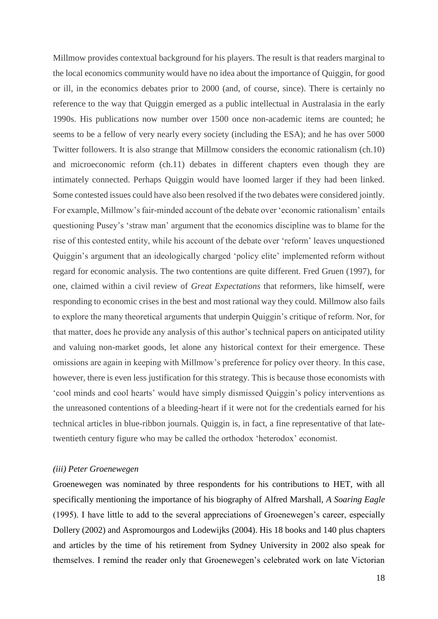Millmow provides contextual background for his players. The result is that readers marginal to the local economics community would have no idea about the importance of Quiggin, for good or ill, in the economics debates prior to 2000 (and, of course, since). There is certainly no reference to the way that Quiggin emerged as a public intellectual in Australasia in the early 1990s. His publications now number over 1500 once non-academic items are counted; he seems to be a fellow of very nearly every society (including the ESA); and he has over 5000 Twitter followers. It is also strange that Millmow considers the economic rationalism (ch.10) and microeconomic reform (ch.11) debates in different chapters even though they are intimately connected. Perhaps Quiggin would have loomed larger if they had been linked. Some contested issues could have also been resolved if the two debates were considered jointly. For example, Millmow's fair-minded account of the debate over 'economic rationalism' entails questioning Pusey's 'straw man' argument that the economics discipline was to blame for the rise of this contested entity, while his account of the debate over 'reform' leaves unquestioned Quiggin's argument that an ideologically charged 'policy elite' implemented reform without regard for economic analysis. The two contentions are quite different. Fred Gruen (1997), for one, claimed within a civil review of *Great Expectations* that reformers, like himself, were responding to economic crises in the best and most rational way they could. Millmow also fails to explore the many theoretical arguments that underpin Quiggin's critique of reform. Nor, for that matter, does he provide any analysis of this author's technical papers on anticipated utility and valuing non-market goods, let alone any historical context for their emergence. These omissions are again in keeping with Millmow's preference for policy over theory. In this case, however, there is even less justification for this strategy. This is because those economists with 'cool minds and cool hearts' would have simply dismissed Quiggin's policy interventions as the unreasoned contentions of a bleeding-heart if it were not for the credentials earned for his technical articles in blue-ribbon journals. Quiggin is, in fact, a fine representative of that latetwentieth century figure who may be called the orthodox 'heterodox' economist.

#### *(iii) Peter Groenewegen*

Groenewegen was nominated by three respondents for his contributions to HET, with all specifically mentioning the importance of his biography of Alfred Marshall, *A Soaring Eagle* (1995). I have little to add to the several appreciations of Groenewegen's career, especially Dollery (2002) and Aspromourgos and Lodewijks (2004). His 18 books and 140 plus chapters and articles by the time of his retirement from Sydney University in 2002 also speak for themselves. I remind the reader only that Groenewegen's celebrated work on late Victorian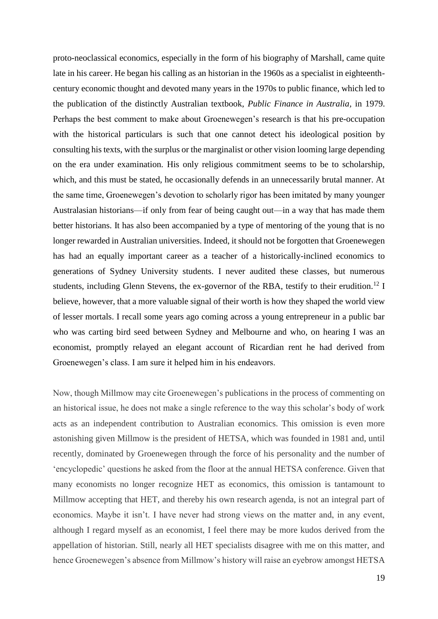proto-neoclassical economics, especially in the form of his biography of Marshall, came quite late in his career. He began his calling as an historian in the 1960s as a specialist in eighteenthcentury economic thought and devoted many years in the 1970s to public finance, which led to the publication of the distinctly Australian textbook, *Public Finance in Australia,* in 1979. Perhaps the best comment to make about Groenewegen's research is that his pre-occupation with the historical particulars is such that one cannot detect his ideological position by consulting his texts, with the surplus or the marginalist or other vision looming large depending on the era under examination. His only religious commitment seems to be to scholarship, which, and this must be stated, he occasionally defends in an unnecessarily brutal manner. At the same time, Groenewegen's devotion to scholarly rigor has been imitated by many younger Australasian historians—if only from fear of being caught out—in a way that has made them better historians. It has also been accompanied by a type of mentoring of the young that is no longer rewarded in Australian universities. Indeed, it should not be forgotten that Groenewegen has had an equally important career as a teacher of a historically-inclined economics to generations of Sydney University students. I never audited these classes, but numerous students, including Glenn Stevens, the ex-governor of the RBA, testify to their erudition.<sup>12</sup> I believe, however, that a more valuable signal of their worth is how they shaped the world view of lesser mortals. I recall some years ago coming across a young entrepreneur in a public bar who was carting bird seed between Sydney and Melbourne and who, on hearing I was an economist, promptly relayed an elegant account of Ricardian rent he had derived from Groenewegen's class. I am sure it helped him in his endeavors.

Now, though Millmow may cite Groenewegen's publications in the process of commenting on an historical issue, he does not make a single reference to the way this scholar's body of work acts as an independent contribution to Australian economics. This omission is even more astonishing given Millmow is the president of HETSA, which was founded in 1981 and, until recently, dominated by Groenewegen through the force of his personality and the number of 'encyclopedic' questions he asked from the floor at the annual HETSA conference. Given that many economists no longer recognize HET as economics, this omission is tantamount to Millmow accepting that HET, and thereby his own research agenda, is not an integral part of economics. Maybe it isn't. I have never had strong views on the matter and, in any event, although I regard myself as an economist, I feel there may be more kudos derived from the appellation of historian. Still, nearly all HET specialists disagree with me on this matter, and hence Groenewegen's absence from Millmow's history will raise an eyebrow amongst HETSA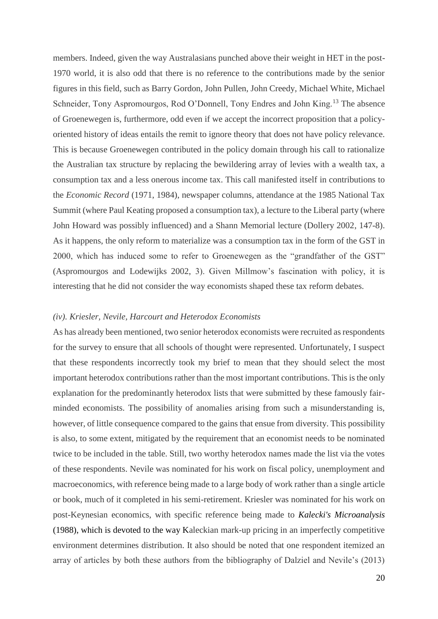members. Indeed, given the way Australasians punched above their weight in HET in the post-1970 world, it is also odd that there is no reference to the contributions made by the senior figures in this field, such as Barry Gordon, John Pullen, John Creedy, Michael White, Michael Schneider, Tony Aspromourgos, Rod O'Donnell, Tony Endres and John King.<sup>13</sup> The absence of Groenewegen is, furthermore, odd even if we accept the incorrect proposition that a policyoriented history of ideas entails the remit to ignore theory that does not have policy relevance. This is because Groenewegen contributed in the policy domain through his call to rationalize the Australian tax structure by replacing the bewildering array of levies with a wealth tax, a consumption tax and a less onerous income tax. This call manifested itself in contributions to the *Economic Record* (1971, 1984), newspaper columns, attendance at the 1985 National Tax Summit (where Paul Keating proposed a consumption tax), a lecture to the Liberal party (where John Howard was possibly influenced) and a Shann Memorial lecture (Dollery 2002, 147-8). As it happens, the only reform to materialize was a consumption tax in the form of the GST in 2000, which has induced some to refer to Groenewegen as the "grandfather of the GST" (Aspromourgos and Lodewijks 2002, 3). Given Millmow's fascination with policy, it is interesting that he did not consider the way economists shaped these tax reform debates.

#### *(iv). Kriesler, Nevile, Harcourt and Heterodox Economists*

As has already been mentioned, two senior heterodox economists were recruited as respondents for the survey to ensure that all schools of thought were represented. Unfortunately, I suspect that these respondents incorrectly took my brief to mean that they should select the most important heterodox contributions rather than the most important contributions. This is the only explanation for the predominantly heterodox lists that were submitted by these famously fairminded economists. The possibility of anomalies arising from such a misunderstanding is, however, of little consequence compared to the gains that ensue from diversity. This possibility is also, to some extent, mitigated by the requirement that an economist needs to be nominated twice to be included in the table. Still, two worthy heterodox names made the list via the votes of these respondents. Nevile was nominated for his work on fiscal policy, unemployment and macroeconomics, with reference being made to a large body of work rather than a single article or book, much of it completed in his semi-retirement. Kriesler was nominated for his work on post-Keynesian economics, with specific reference being made to *Kalecki's Microanalysis*  (1988), which is devoted to the way Kaleckian mark-up pricing in an imperfectly competitive environment determines distribution. It also should be noted that one respondent itemized an array of articles by both these authors from the bibliography of Dalziel and Nevile's (2013)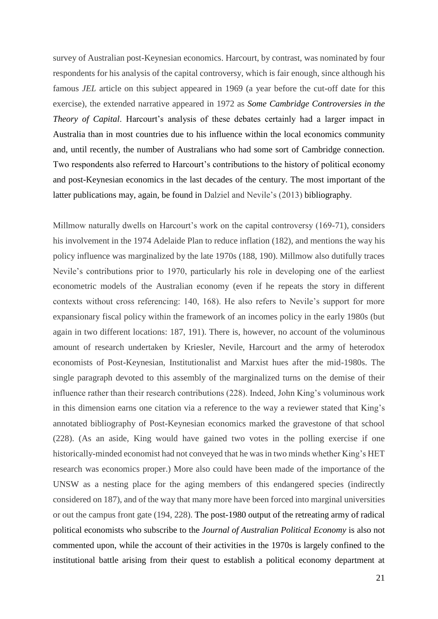survey of Australian post-Keynesian economics. Harcourt, by contrast, was nominated by four respondents for his analysis of the capital controversy, which is fair enough, since although his famous *JEL* article on this subject appeared in 1969 (a year before the cut-off date for this exercise), the extended narrative appeared in 1972 as *Some Cambridge Controversies in the Theory of Capital*. Harcourt's analysis of these debates certainly had a larger impact in Australia than in most countries due to his influence within the local economics community and, until recently, the number of Australians who had some sort of Cambridge connection. Two respondents also referred to Harcourt's contributions to the history of political economy and post-Keynesian economics in the last decades of the century. The most important of the latter publications may, again, be found in Dalziel and Nevile's (2013) bibliography.

Millmow naturally dwells on Harcourt's work on the capital controversy (169-71), considers his involvement in the 1974 Adelaide Plan to reduce inflation (182), and mentions the way his policy influence was marginalized by the late 1970s (188, 190). Millmow also dutifully traces Nevile's contributions prior to 1970, particularly his role in developing one of the earliest econometric models of the Australian economy (even if he repeats the story in different contexts without cross referencing: 140, 168). He also refers to Nevile's support for more expansionary fiscal policy within the framework of an incomes policy in the early 1980s (but again in two different locations: 187, 191). There is, however, no account of the voluminous amount of research undertaken by Kriesler, Nevile, Harcourt and the army of heterodox economists of Post-Keynesian, Institutionalist and Marxist hues after the mid-1980s. The single paragraph devoted to this assembly of the marginalized turns on the demise of their influence rather than their research contributions (228). Indeed, John King's voluminous work in this dimension earns one citation via a reference to the way a reviewer stated that King's annotated bibliography of Post-Keynesian economics marked the gravestone of that school (228). (As an aside, King would have gained two votes in the polling exercise if one historically-minded economist had not conveyed that he was in two minds whether King's HET research was economics proper.) More also could have been made of the importance of the UNSW as a nesting place for the aging members of this endangered species (indirectly considered on 187), and of the way that many more have been forced into marginal universities or out the campus front gate (194, 228). The post-1980 output of the retreating army of radical political economists who subscribe to the *Journal of Australian Political Economy* is also not commented upon, while the account of their activities in the 1970s is largely confined to the institutional battle arising from their quest to establish a political economy department at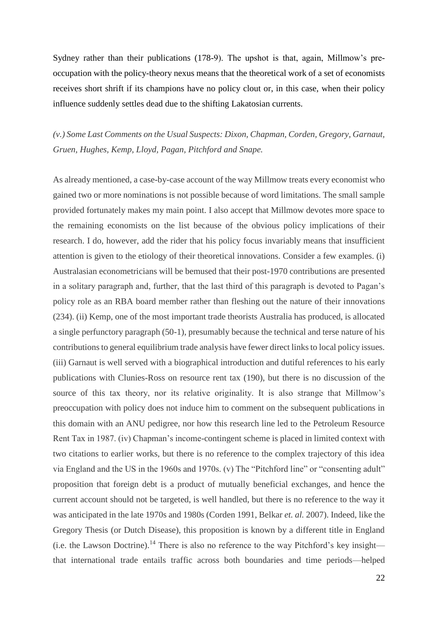Sydney rather than their publications (178-9). The upshot is that, again, Millmow's preoccupation with the policy-theory nexus means that the theoretical work of a set of economists receives short shrift if its champions have no policy clout or, in this case, when their policy influence suddenly settles dead due to the shifting Lakatosian currents.

*(v.) Some Last Comments on the Usual Suspects: Dixon, Chapman, Corden, Gregory, Garnaut, Gruen, Hughes, Kemp, Lloyd, Pagan, Pitchford and Snape.*

As already mentioned, a case-by-case account of the way Millmow treats every economist who gained two or more nominations is not possible because of word limitations. The small sample provided fortunately makes my main point. I also accept that Millmow devotes more space to the remaining economists on the list because of the obvious policy implications of their research. I do, however, add the rider that his policy focus invariably means that insufficient attention is given to the etiology of their theoretical innovations. Consider a few examples. (i) Australasian econometricians will be bemused that their post-1970 contributions are presented in a solitary paragraph and, further, that the last third of this paragraph is devoted to Pagan's policy role as an RBA board member rather than fleshing out the nature of their innovations (234). (ii) Kemp, one of the most important trade theorists Australia has produced, is allocated a single perfunctory paragraph (50-1), presumably because the technical and terse nature of his contributions to general equilibrium trade analysis have fewer direct links to local policy issues. (iii) Garnaut is well served with a biographical introduction and dutiful references to his early publications with Clunies-Ross on resource rent tax (190), but there is no discussion of the source of this tax theory, nor its relative originality. It is also strange that Millmow's preoccupation with policy does not induce him to comment on the subsequent publications in this domain with an ANU pedigree, nor how this research line led to the Petroleum Resource Rent Tax in 1987. (iv) Chapman's income-contingent scheme is placed in limited context with two citations to earlier works, but there is no reference to the complex trajectory of this idea via England and the US in the 1960s and 1970s. (v) The "Pitchford line" or "consenting adult" proposition that foreign debt is a product of mutually beneficial exchanges, and hence the current account should not be targeted, is well handled, but there is no reference to the way it was anticipated in the late 1970s and 1980s (Corden 1991, Belkar *et. al.* 2007). Indeed, like the Gregory Thesis (or Dutch Disease), this proposition is known by a different title in England (i.e. the Lawson Doctrine).<sup>14</sup> There is also no reference to the way Pitchford's key insight that international trade entails traffic across both boundaries and time periods—helped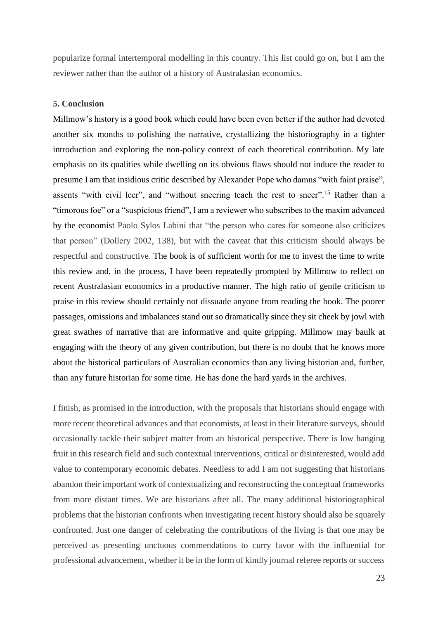popularize formal intertemporal modelling in this country. This list could go on, but I am the reviewer rather than the author of a history of Australasian economics.

#### **5. Conclusion**

Millmow's history is a good book which could have been even better if the author had devoted another six months to polishing the narrative, crystallizing the historiography in a tighter introduction and exploring the non-policy context of each theoretical contribution. My late emphasis on its qualities while dwelling on its obvious flaws should not induce the reader to presume I am that insidious critic described by Alexander Pope who damns "with faint praise", assents "with civil leer", and "without sneering teach the rest to sneer".<sup>15</sup> Rather than a "timorous foe" or a "suspicious friend", I am a reviewer who subscribes to the maxim advanced by the economist Paolo Sylos Labini that "the person who cares for someone also criticizes that person" (Dollery 2002, 138), but with the caveat that this criticism should always be respectful and constructive. The book is of sufficient worth for me to invest the time to write this review and, in the process, I have been repeatedly prompted by Millmow to reflect on recent Australasian economics in a productive manner. The high ratio of gentle criticism to praise in this review should certainly not dissuade anyone from reading the book. The poorer passages, omissions and imbalances stand out so dramatically since they sit cheek by jowl with great swathes of narrative that are informative and quite gripping. Millmow may baulk at engaging with the theory of any given contribution, but there is no doubt that he knows more about the historical particulars of Australian economics than any living historian and, further, than any future historian for some time. He has done the hard yards in the archives.

I finish, as promised in the introduction, with the proposals that historians should engage with more recent theoretical advances and that economists, at least in their literature surveys, should occasionally tackle their subject matter from an historical perspective. There is low hanging fruit in this research field and such contextual interventions, critical or disinterested, would add value to contemporary economic debates. Needless to add I am not suggesting that historians abandon their important work of contextualizing and reconstructing the conceptual frameworks from more distant times. We are historians after all. The many additional historiographical problems that the historian confronts when investigating recent history should also be squarely confronted. Just one danger of celebrating the contributions of the living is that one may be perceived as presenting unctuous commendations to curry favor with the influential for professional advancement, whether it be in the form of kindly journal referee reports or success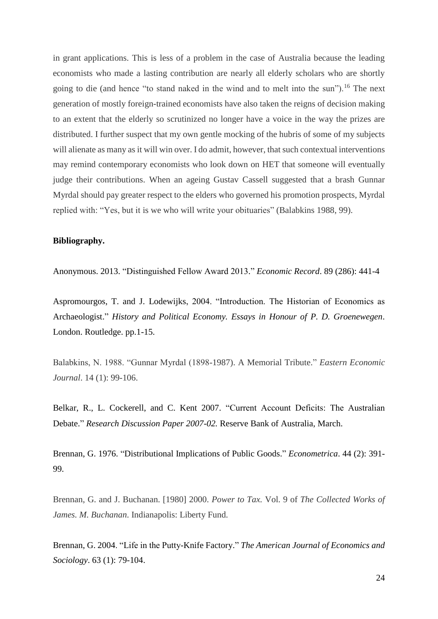in grant applications. This is less of a problem in the case of Australia because the leading economists who made a lasting contribution are nearly all elderly scholars who are shortly going to die (and hence "to stand naked in the wind and to melt into the sun").<sup>16</sup> The next generation of mostly foreign-trained economists have also taken the reigns of decision making to an extent that the elderly so scrutinized no longer have a voice in the way the prizes are distributed. I further suspect that my own gentle mocking of the hubris of some of my subjects will alienate as many as it will win over. I do admit, however, that such contextual interventions may remind contemporary economists who look down on HET that someone will eventually judge their contributions. When an ageing Gustav Cassell suggested that a brash Gunnar Myrdal should pay greater respect to the elders who governed his promotion prospects, Myrdal replied with: "Yes, but it is we who will write your obituaries" (Balabkins 1988, 99).

#### **Bibliography.**

Anonymous. 2013. "Distinguished Fellow Award 2013." *Economic Record*. 89 (286): 441-4

Aspromourgos, T. and J. Lodewijks, 2004. "Introduction. The Historian of Economics as Archaeologist." *History and Political Economy. Essays in Honour of P. D. Groenewegen*. London. Routledge. pp.1-15.

Balabkins, N. 1988. "Gunnar Myrdal (1898-1987). A Memorial Tribute." *Eastern Economic Journal*. 14 (1): 99-106.

Belkar, R., L. Cockerell, and C. Kent 2007. "Current Account Deficits: The Australian Debate." *Research Discussion Paper 2007-02.* Reserve Bank of Australia, March.

Brennan, G. 1976. "Distributional Implications of Public Goods." *Econometrica*. 44 (2): 391- 99.

Brennan, G. and J. Buchanan. [1980] 2000. *Power to Tax.* Vol. 9 of *The Collected Works of James. M. Buchanan*. Indianapolis: Liberty Fund.

Brennan, G. 2004. "Life in the Putty-Knife Factory." *The American Journal of Economics and Sociology*. 63 (1): 79-104.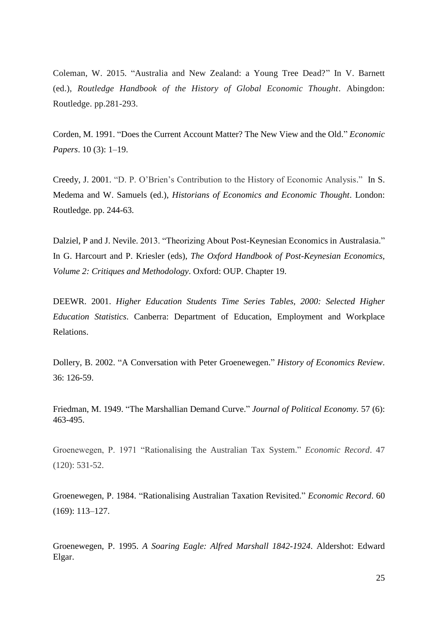Coleman, W. 2015. "Australia and New Zealand: a Young Tree Dead?" In V. Barnett (ed.), *Routledge Handbook of the History of Global Economic Thought.* Abingdon: Routledge. pp.281-293.

Corden, M. 1991. "Does the Current Account Matter? The New View and the Old." *Economic Papers*. 10 (3): 1–19.

Creedy, J. 2001. "D. P. O'Brien's Contribution to the History of Economic Analysis." In S. Medema and W. Samuels (ed.), *Historians of Economics and Economic Thought*. London: Routledge. pp. 244-63.

Dalziel, P and J. Nevile. 2013. "Theorizing About Post-Keynesian Economics in Australasia." In G. Harcourt and P. Kriesler (eds), *The Oxford Handbook of Post-Keynesian Economics, Volume 2: Critiques and Methodology*. Oxford: OUP. Chapter 19.

DEEWR. 2001. *Higher Education Students Time Series Tables, 2000: Selected Higher Education Statistics*. Canberra: Department of Education, Employment and Workplace Relations.

Dollery, B. 2002. "A Conversation with Peter Groenewegen." *History of Economics Review*. 36: 126-59.

Friedman, M. 1949. "The Marshallian Demand Curve." *Journal of Political Economy.* 57 (6): 463-495.

Groenewegen, P. 1971 "Rationalising the Australian Tax System." *Economic Record*. 47 (120): 531-52.

Groenewegen, P. 1984. "Rationalising Australian Taxation Revisited." *Economic Record*. 60 (169): 113–127.

Groenewegen, P. 1995. *A Soaring Eagle: Alfred Marshall 1842-1924*. Aldershot: Edward Elgar.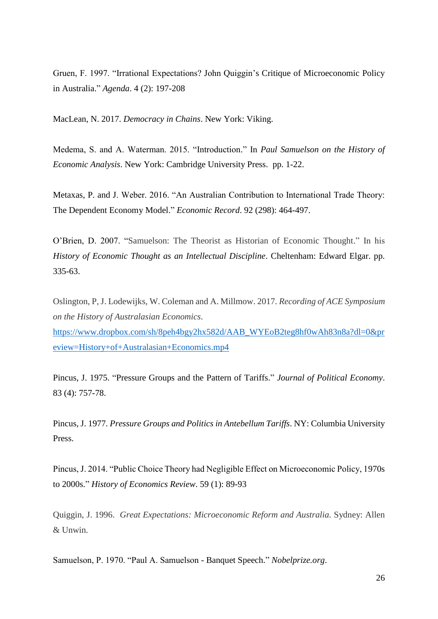Gruen, F. 1997. "Irrational Expectations? John Quiggin's Critique of Microeconomic Policy in Australia." *Agenda*. 4 (2): 197-208

MacLean, N. 2017. *Democracy in Chains*. New York: Viking.

Medema, S. and A. Waterman. 2015. "Introduction." In *Paul Samuelson on the History of Economic Analysis*. New York: Cambridge University Press. pp. 1-22.

Metaxas, P. and J. Weber. 2016. "An Australian Contribution to International Trade Theory: The Dependent Economy Model." *Economic Record*. 92 (298): 464-497.

O'Brien, D. 2007. "Samuelson: The Theorist as Historian of Economic Thought." In his *History of Economic Thought as an Intellectual Discipline*. Cheltenham: Edward Elgar. pp. 335-63.

Oslington, P, J. Lodewijks, W. Coleman and A. Millmow. 2017. *Recording of ACE Symposium on the History of Australasian Economics*.

[https://www.dropbox.com/sh/8peh4bgy2hx582d/AAB\\_WYEoB2teg8hf0wAh83n8a?dl=0&pr](https://www.dropbox.com/sh/8peh4bgy2hx582d/AAB_WYEoB2teg8hf0wAh83n8a?dl=0&preview=History+of+Australasian+Economics.mp4) [eview=History+of+Australasian+Economics.mp4](https://www.dropbox.com/sh/8peh4bgy2hx582d/AAB_WYEoB2teg8hf0wAh83n8a?dl=0&preview=History+of+Australasian+Economics.mp4)

Pincus, J. 1975. "Pressure Groups and the Pattern of Tariffs." *Journal of Political Economy*. 83 (4): 757-78.

Pincus, J. 1977*. Pressure Groups and Politics in Antebellum Tariffs*. NY: Columbia University Press.

Pincus, J. 2014. "Public Choice Theory had Negligible Effect on Microeconomic Policy, 1970s to 2000s." *History of Economics Review*. 59 (1): 89-93

Quiggin, J. 1996. *Great Expectations: Microeconomic Reform and Australia.* Sydney: Allen & Unwin.

Samuelson, P. 1970. "Paul A. Samuelson - Banquet Speech." *Nobelprize.org*.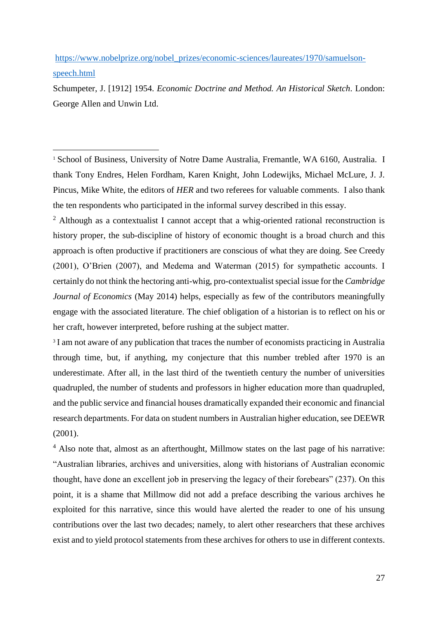## [https://www.nobelprize.org/nobel\\_prizes/economic-sciences/laureates/1970/samuelson](https://www.nobelprize.org/nobel_prizes/economic-sciences/laureates/1970/samuelson-speech.html)[speech.html](https://www.nobelprize.org/nobel_prizes/economic-sciences/laureates/1970/samuelson-speech.html)

Schumpeter, J. [1912] 1954. *Economic Doctrine and Method. An Historical Sketch*. London: George Allen and Unwin Ltd.

<sup>1</sup> School of Business, University of Notre Dame Australia, Fremantle, WA 6160, Australia. I thank Tony Endres, Helen Fordham, Karen Knight, John Lodewijks, Michael McLure, J. J. Pincus, Mike White, the editors of *HER* and two referees for valuable comments. I also thank the ten respondents who participated in the informal survey described in this essay.

1

 $2$  Although as a contextualist I cannot accept that a whig-oriented rational reconstruction is history proper, the sub-discipline of history of economic thought is a broad church and this approach is often productive if practitioners are conscious of what they are doing. See Creedy (2001), O'Brien (2007), and Medema and Waterman (2015) for sympathetic accounts. I certainly do not think the hectoring anti-whig, pro-contextualist special issue for the *Cambridge Journal of Economics* (May 2014) helps, especially as few of the contributors meaningfully engage with the associated literature. The chief obligation of a historian is to reflect on his or her craft, however interpreted, before rushing at the subject matter.

<sup>3</sup> I am not aware of any publication that traces the number of economists practicing in Australia through time, but, if anything, my conjecture that this number trebled after 1970 is an underestimate. After all, in the last third of the twentieth century the number of universities quadrupled, the number of students and professors in higher education more than quadrupled, and the public service and financial houses dramatically expanded their economic and financial research departments. For data on student numbers in Australian higher education, see DEEWR (2001).

<sup>4</sup> Also note that, almost as an afterthought, Millmow states on the last page of his narrative: "Australian libraries, archives and universities, along with historians of Australian economic thought, have done an excellent job in preserving the legacy of their forebears" (237). On this point, it is a shame that Millmow did not add a preface describing the various archives he exploited for this narrative, since this would have alerted the reader to one of his unsung contributions over the last two decades; namely, to alert other researchers that these archives exist and to yield protocol statements from these archives for others to use in different contexts.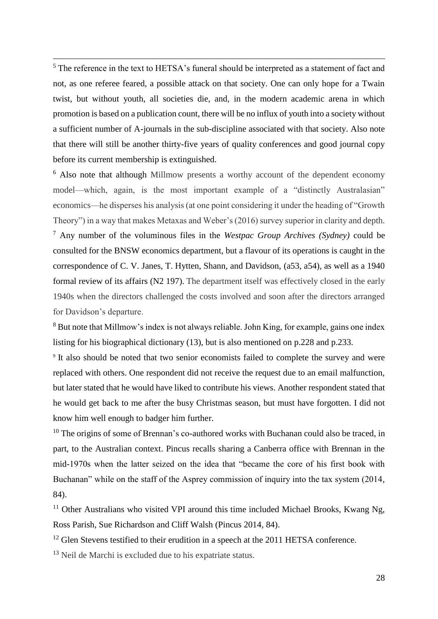<sup>5</sup> The reference in the text to HETSA's funeral should be interpreted as a statement of fact and not, as one referee feared, a possible attack on that society. One can only hope for a Twain twist, but without youth, all societies die, and, in the modern academic arena in which promotion is based on a publication count, there will be no influx of youth into a society without a sufficient number of A-journals in the sub-discipline associated with that society. Also note that there will still be another thirty-five years of quality conferences and good journal copy before its current membership is extinguished.

<u>.</u>

<sup>6</sup> Also note that although Millmow presents a worthy account of the dependent economy model—which, again, is the most important example of a "distinctly Australasian" economics—he disperses his analysis (at one point considering it under the heading of "Growth Theory") in a way that makes Metaxas and Weber's (2016) survey superior in clarity and depth. <sup>7</sup> Any number of the voluminous files in the *Westpac Group Archives (Sydney)* could be consulted for the BNSW economics department, but a flavour of its operations is caught in the correspondence of C. V. Janes, T. Hytten, Shann, and Davidson, (a53, a54), as well as a 1940 formal review of its affairs (N2 197). The department itself was effectively closed in the early 1940s when the directors challenged the costs involved and soon after the directors arranged for Davidson's departure.

<sup>8</sup> But note that Millmow's index is not always reliable. John King, for example, gains one index listing for his biographical dictionary (13), but is also mentioned on p.228 and p.233.

9 It also should be noted that two senior economists failed to complete the survey and were replaced with others. One respondent did not receive the request due to an email malfunction, but later stated that he would have liked to contribute his views. Another respondent stated that he would get back to me after the busy Christmas season, but must have forgotten. I did not know him well enough to badger him further.

 $10$  The origins of some of Brennan's co-authored works with Buchanan could also be traced, in part, to the Australian context. Pincus recalls sharing a Canberra office with Brennan in the mid-1970s when the latter seized on the idea that "became the core of his first book with Buchanan" while on the staff of the Asprey commission of inquiry into the tax system (2014, 84).

<sup>11</sup> Other Australians who visited VPI around this time included Michael Brooks, Kwang Ng, Ross Parish, Sue Richardson and Cliff Walsh (Pincus 2014, 84).

<sup>12</sup> Glen Stevens testified to their erudition in a speech at the 2011 HETSA conference.

<sup>13</sup> Neil de Marchi is excluded due to his expatriate status.